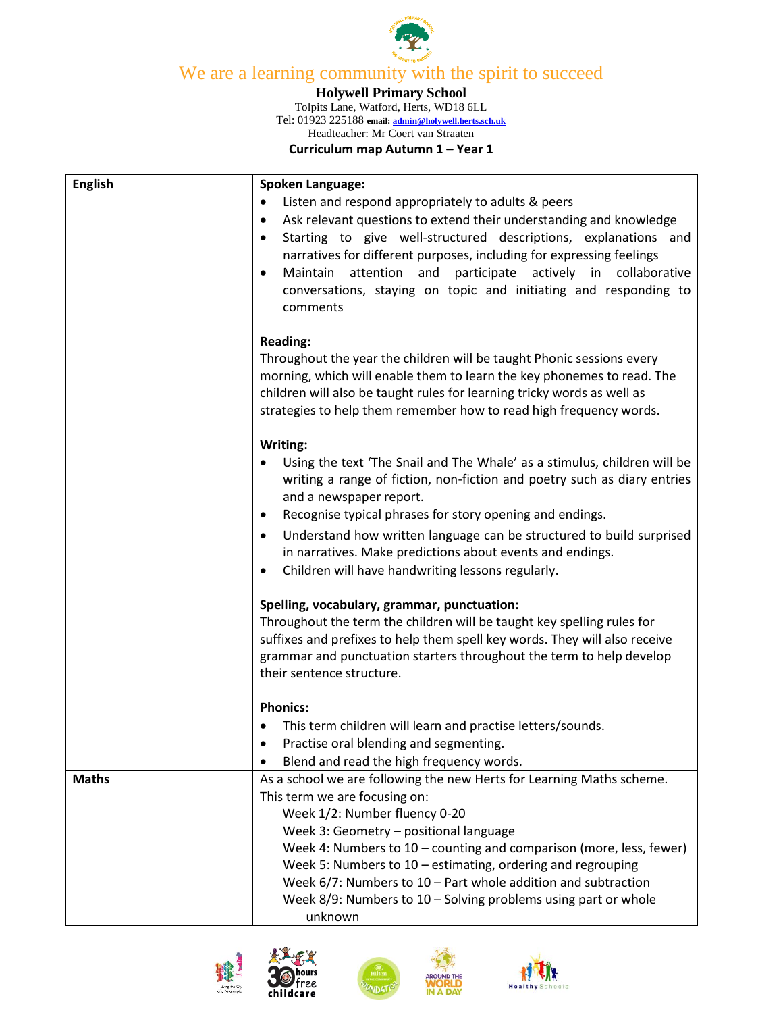

## We are a learning community with the spirit to succeed

## **Holywell Primary School**

Tolpits Lane, Watford, Herts, WD18 6LL Tel: 01923 225188 **email[: admin@holywell.herts.sch.uk](mailto:admin@holywell.herts.sch.uk)** Headteacher: Mr Coert van Straaten

**Curriculum map Autumn 1 – Year 1**

| <b>English</b> | <b>Spoken Language:</b>                                                            |
|----------------|------------------------------------------------------------------------------------|
|                | Listen and respond appropriately to adults & peers                                 |
|                | Ask relevant questions to extend their understanding and knowledge<br>٠            |
|                | Starting to give well-structured descriptions, explanations and<br>$\bullet$       |
|                | narratives for different purposes, including for expressing feelings               |
|                | Maintain<br>attention<br>and<br>participate actively in collaborative<br>$\bullet$ |
|                | conversations, staying on topic and initiating and responding to                   |
|                | comments                                                                           |
|                | <b>Reading:</b>                                                                    |
|                | Throughout the year the children will be taught Phonic sessions every              |
|                | morning, which will enable them to learn the key phonemes to read. The             |
|                | children will also be taught rules for learning tricky words as well as            |
|                | strategies to help them remember how to read high frequency words.                 |
|                | Writing:                                                                           |
|                | Using the text 'The Snail and The Whale' as a stimulus, children will be           |
|                | writing a range of fiction, non-fiction and poetry such as diary entries           |
|                | and a newspaper report.                                                            |
|                | Recognise typical phrases for story opening and endings.<br>٠                      |
|                | Understand how written language can be structured to build surprised<br>$\bullet$  |
|                | in narratives. Make predictions about events and endings.                          |
|                | Children will have handwriting lessons regularly.<br>٠                             |
|                | Spelling, vocabulary, grammar, punctuation:                                        |
|                | Throughout the term the children will be taught key spelling rules for             |
|                | suffixes and prefixes to help them spell key words. They will also receive         |
|                | grammar and punctuation starters throughout the term to help develop               |
|                | their sentence structure.                                                          |
|                | <b>Phonics:</b>                                                                    |
|                | This term children will learn and practise letters/sounds.                         |
|                | Practise oral blending and segmenting.<br>٠                                        |
|                | Blend and read the high frequency words.                                           |
| <b>Maths</b>   | As a school we are following the new Herts for Learning Maths scheme.              |
|                | This term we are focusing on:                                                      |
|                | Week 1/2: Number fluency 0-20                                                      |
|                | Week 3: Geometry - positional language                                             |
|                | Week 4: Numbers to 10 - counting and comparison (more, less, fewer)                |
|                | Week 5: Numbers to 10 - estimating, ordering and regrouping                        |
|                | Week $6/7$ : Numbers to $10$ – Part whole addition and subtraction                 |
|                | Week $8/9$ : Numbers to $10 -$ Solving problems using part or whole                |
|                | unknown                                                                            |





ree: